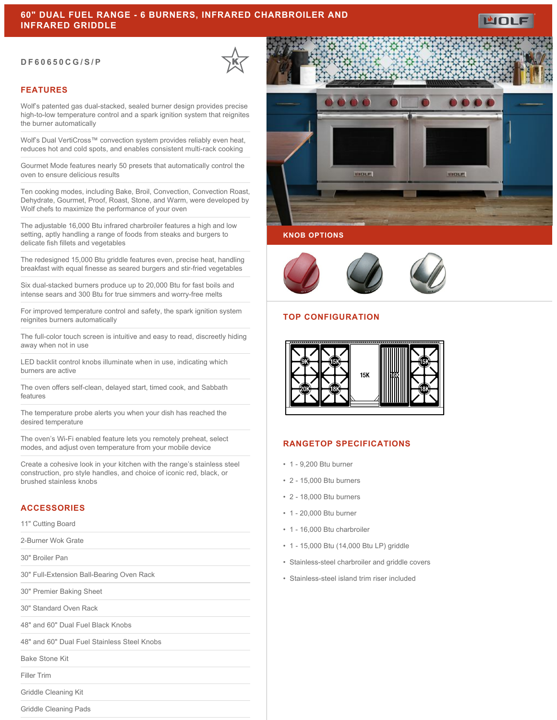#### **DF60650CG/S/P**



### **FEATURES**

Wolf's patented gas dual-stacked, sealed burner design provides precise high-to-low temperature control and a spark ignition system that reignites the burner automatically

Wolf's Dual VertiCross™ convection system provides reliably even heat, reduces hot and cold spots, and enables consistent multi-rack cooking

Gourmet Mode features nearly 50 presets that automatically control the oven to ensure delicious results

Ten cooking modes, including Bake, Broil, Convection, Convection Roast, Dehydrate, Gourmet, Proof, Roast, Stone, and Warm, were developed by Wolf chefs to maximize the performance of your oven

The adjustable 16,000 Btu infrared charbroiler features a high and low setting, aptly handling a range of foods from steaks and burgers to delicate fish fillets and vegetables

The redesigned 15,000 Btu griddle features even, precise heat, handling breakfast with equal finesse as seared burgers and stir-fried vegetables

Six dual-stacked burners produce up to 20,000 Btu for fast boils and intense sears and 300 Btu for true simmers and worry-free melts

For improved temperature control and safety, the spark ignition system reignites burners automatically

The full-color touch screen is intuitive and easy to read, discreetly hiding away when not in use

LED backlit control knobs illuminate when in use, indicating which burners are active

The oven offers self-clean, delayed start, timed cook, and Sabbath features

The temperature probe alerts you when your dish has reached the desired temperature

The oven's Wi-Fi enabled feature lets you remotely preheat, select modes, and adjust oven temperature from your mobile device

Create a cohesive look in your kitchen with the range's stainless steel construction, pro style handles, and choice of iconic red, black, or brushed stainless knobs

## **ACCESSORIES**

11" Cutting Board

2-Burner Wok Grate

30" Broiler Pan

30" Full-Extension Ball-Bearing Oven Rack

30" Premier Baking Sheet

30" Standard Oven Rack

48" and 60" Dual Fuel Black Knobs

48" and 60" Dual Fuel Stainless Steel Knobs

Bake Stone Kit

Filler Trim

Griddle Cleaning Kit

Griddle Cleaning Pads



#### **KNOB OPTIONS**



### **TOP CONFIGURATION**



#### **RANGETOP SPECIFICATIONS**

- 1 9,200 Btu burner
- 2 15,000 Btu burners
- 2 18,000 Btu burners
- 1 20,000 Btu burner
- 1 16,000 Btu charbroiler
- 1 15,000 Btu (14,000 Btu LP) griddle
- Stainless-steel charbroiler and griddle covers
- Stainless-steel island trim riser included

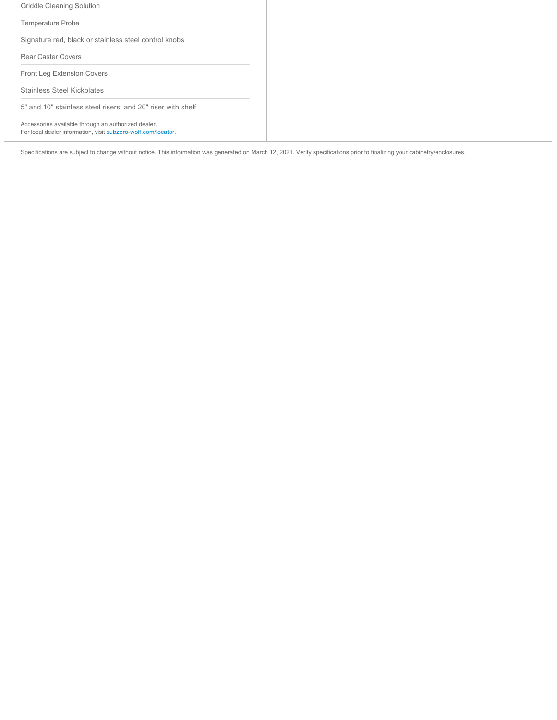| Griddle Cleaning Solution                                                                                            |  |  |
|----------------------------------------------------------------------------------------------------------------------|--|--|
| <b>Temperature Probe</b>                                                                                             |  |  |
| Signature red, black or stainless steel control knobs                                                                |  |  |
| Rear Caster Covers                                                                                                   |  |  |
| <b>Front Leg Extension Covers</b>                                                                                    |  |  |
| <b>Stainless Steel Kickplates</b>                                                                                    |  |  |
| 5" and 10" stainless steel risers, and 20" riser with shelf                                                          |  |  |
| Accessories available through an authorized dealer.<br>For local dealer information, visit subzero-wolf.com/locator. |  |  |

Specifications are subject to change without notice. This information was generated on March 12, 2021. Verify specifications prior to finalizing your cabinetry/enclosures.